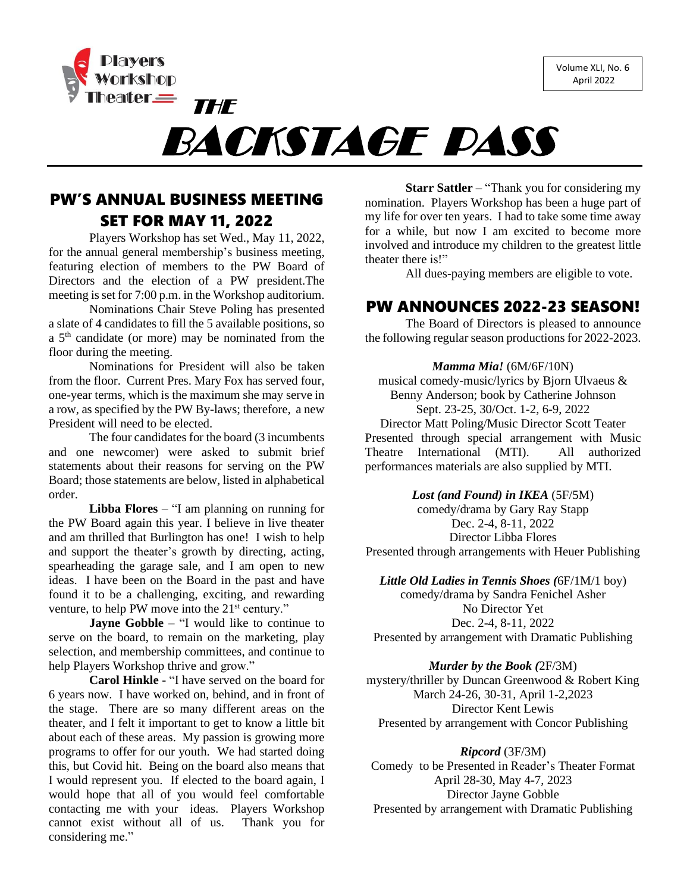Volume XLI, No. 6 April 2022



BACKSTAGE PASS

## PW'S ANNUAL BUSINESS MEETING SET FOR MAY 11, 2022

THE

Players Workshop has set Wed., May 11, 2022, for the annual general membership's business meeting, featuring election of members to the PW Board of Directors and the election of a PW president.The meeting is set for 7:00 p.m. in the Workshop auditorium.

Nominations Chair Steve Poling has presented a slate of 4 candidates to fill the 5 available positions, so a 5<sup>th</sup> candidate (or more) may be nominated from the floor during the meeting.

Nominations for President will also be taken from the floor. Current Pres. Mary Fox has served four, one-year terms, which is the maximum she may serve in a row, as specified by the PW By-laws; therefore, a new President will need to be elected.

The four candidates for the board (3 incumbents and one newcomer) were asked to submit brief statements about their reasons for serving on the PW Board; those statements are below, listed in alphabetical order.

**Libba Flores** – "I am planning on running for the PW Board again this year. I believe in live theater and am thrilled that Burlington has one! I wish to help and support the theater's growth by directing, acting, spearheading the garage sale, and I am open to new ideas. I have been on the Board in the past and have found it to be a challenging, exciting, and rewarding venture, to help PW move into the 21<sup>st</sup> century."

**Jayne Gobble** – "I would like to continue to serve on the board, to remain on the marketing, play selection, and membership committees, and continue to help Players Workshop thrive and grow."

**Carol Hinkle** - "I have served on the board for 6 years now. I have worked on, behind, and in front of the stage. There are so many different areas on the theater, and I felt it important to get to know a little bit about each of these areas. My passion is growing more programs to offer for our youth. We had started doing this, but Covid hit. Being on the board also means that I would represent you. If elected to the board again, I would hope that all of you would feel comfortable contacting me with your ideas. Players Workshop cannot exist without all of us. Thank you for considering me."

**Starr Sattler** – "Thank you for considering my nomination. Players Workshop has been a huge part of my life for over ten years. I had to take some time away for a while, but now I am excited to become more involved and introduce my children to the greatest little theater there is!"

All dues-paying members are eligible to vote.

### PW ANNOUNCES 2022-23 SEASON!

The Board of Directors is pleased to announce the following regular season productions for 2022-2023.

#### *Mamma Mia!* (6M/6F/10N)

musical comedy-music/lyrics by Bjorn Ulvaeus & Benny Anderson; book by Catherine Johnson Sept. 23-25, 30/Oct. 1-2, 6-9, 2022 Director Matt Poling/Music Director Scott Teater Presented through special arrangement with Music Theatre International (MTI). All authorized performances materials are also supplied by MTI.

*Lost (and Found) in IKEA* (5F/5M)

comedy/drama by Gary Ray Stapp Dec. 2-4, 8-11, 2022 Director Libba Flores Presented through arrangements with Heuer Publishing

*Little Old Ladies in Tennis Shoes (*6F/1M/1 boy)

comedy/drama by Sandra Fenichel Asher No Director Yet Dec. 2-4, 8-11, 2022 Presented by arrangement with Dramatic Publishing

*Murder by the Book (*2F/3M)

mystery/thriller by Duncan Greenwood & Robert King March 24-26, 30-31, April 1-2,2023 Director Kent Lewis Presented by arrangement with Concor Publishing

*Ripcord* (3F/3M) Comedy to be Presented in Reader's Theater Format April 28-30, May 4-7, 2023 Director Jayne Gobble Presented by arrangement with Dramatic Publishing